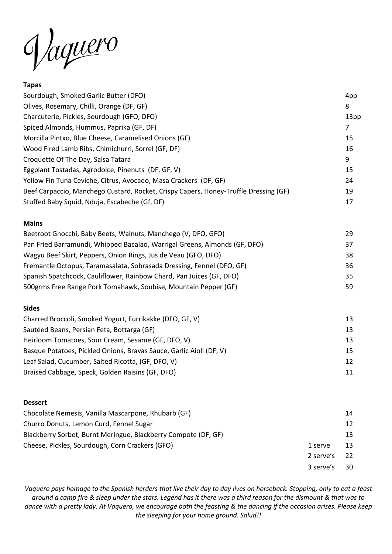Jaquero

### **Tapas**

| Sourdough, Smoked Garlic Butter (DFO)                                                | 4pp              |
|--------------------------------------------------------------------------------------|------------------|
| Olives, Rosemary, Chilli, Orange (DF, GF)                                            | 8                |
| Charcuterie, Pickles, Sourdough (GFO, DFO)                                           | 13 <sub>pp</sub> |
| Spiced Almonds, Hummus, Paprika (GF, DF)                                             | 7                |
| Morcilla Pintxo, Blue Cheese, Caramelised Onions (GF)                                | 15               |
| Wood Fired Lamb Ribs, Chimichurri, Sorrel (GF, DF)                                   | 16               |
| Croquette Of The Day, Salsa Tatara                                                   | 9                |
| Eggplant Tostadas, Agrodolce, Pinenuts (DF, GF, V)                                   | 15               |
| Yellow Fin Tuna Ceviche, Citrus, Avocado, Masa Crackers (DF, GF)                     | 24               |
| Beef Carpaccio, Manchego Custard, Rocket, Crispy Capers, Honey-Truffle Dressing (GF) | 19               |
| Stuffed Baby Squid, Nduja, Escabeche (Gf, DF)                                        | 17               |
| <b>Mains</b>                                                                         |                  |
| Beetroot Gnocchi, Baby Beets, Walnuts, Manchego (V, DFO, GFO)                        | 29               |

| $\frac{1}{2}$                                                             |    |
|---------------------------------------------------------------------------|----|
| Pan Fried Barramundi, Whipped Bacalao, Warrigal Greens, Almonds (GF, DFO) | 37 |
| Wagyu Beef Skirt, Peppers, Onion Rings, Jus de Veau (GFO, DFO)            | 38 |
| Fremantle Octopus, Taramasalata, Sobrasada Dressing, Fennel (DFO, GF)     | 36 |
| Spanish Spatchcock, Cauliflower, Rainbow Chard, Pan Juices (GF, DFO)      | 35 |
| 500grms Free Range Pork Tomahawk, Soubise, Mountain Pepper (GF)           | 59 |
|                                                                           |    |

#### **Sides**

| Charred Broccoli, Smoked Yogurt, Furrikakke (DFO, GF, V)            | 13 |
|---------------------------------------------------------------------|----|
| Sautéed Beans, Persian Feta, Bottarga (GF)                          | 13 |
| Heirloom Tomatoes, Sour Cream, Sesame (GF, DFO, V)                  | 13 |
| Basque Potatoes, Pickled Onions, Bravas Sauce, Garlic Aioli (DF, V) | 15 |
| Leaf Salad, Cucumber, Salted Ricotta, (GF, DFO, V)                  | 12 |
| Braised Cabbage, Speck, Golden Raisins (GF, DFO)                    | 11 |

#### **Dessert**

| Chocolate Nemesis, Vanilla Mascarpone, Rhubarb (GF)            |           | 14 |
|----------------------------------------------------------------|-----------|----|
| Churro Donuts, Lemon Curd, Fennel Sugar                        |           | 12 |
| Blackberry Sorbet, Burnt Meringue, Blackberry Compote (DF, GF) |           | 13 |
| Cheese, Pickles, Sourdough, Corn Crackers (GFO)                | 1 serve   | 13 |
|                                                                | 2 serve's | 22 |
|                                                                | 3 serve's | 30 |

*Vaquero pays homage to the Spanish herders that live their day to day lives on horseback. Stopping, only to eat a feast around a camp fire & sleep under the stars. Legend has it there was a third reason for the dismount & that was to dance with a pretty lady. At Vaquero, we encourage both the feasting & the dancing if the occasion arises. Please keep the sleeping for your home ground. Salud!!*